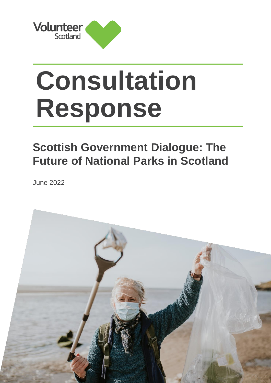

## **Consultation Response**

## **Scottish Government Dialogue: The Future of National Parks in Scotland**

June 2022

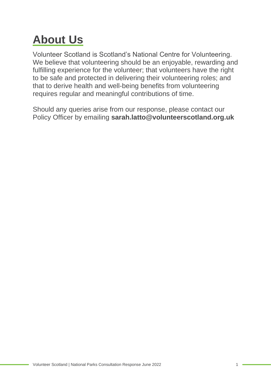## **About Us**

Volunteer Scotland is Scotland's National Centre for Volunteering. We believe that volunteering should be an enjoyable, rewarding and fulfilling experience for the volunteer; that volunteers have the right to be safe and protected in delivering their volunteering roles; and that to derive health and well-being benefits from volunteering requires regular and meaningful contributions of time.

Should any queries arise from our response, please contact our Policy Officer by emailing **sarah.latto@volunteerscotland.org.uk**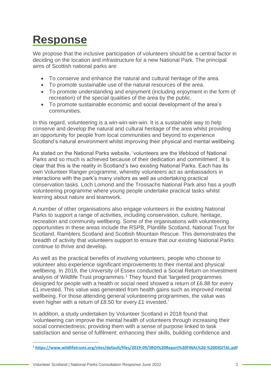## **Response**

We propose that the inclusive participation of volunteers should be a central factor in deciding on the location and infrastructure for a new National Park. The principal aims of Scottish national parks are:

- To conserve and enhance the natural and cultural heritage of the area.
- To promote sustainable use of the natural resources of the area.
- To promote understanding and enjoyment (including enjoyment in the form of recreation) of the special qualities of the area by the public.
- To promote sustainable economic and social development of the area's communities.

In this regard, volunteering is a win-win-win-win. It is a sustainable way to help conserve and develop the natural and cultural heritage of the area whilst providing an opportunity for people from local communities and beyond to experience Scotland's natural environment whilst improving their physical and mental wellbeing.

As stated on the National Parks website, 'volunteers are the lifeblood of National Parks and so much is achieved because of their dedication and commitment'. It is clear that this is the reality in Scotland's two existing National Parks. Each has its own Volunteer Ranger programme, whereby volunteers act as ambassadors in interactions with the park's many visitors as well as undertaking practical conservation tasks. Loch Lomond and the Trossachs National Park also has a youth volunteering programme where young people undertake practical tasks whilst learning about nature and teamwork.

A number of other organisations also engage volunteers in the existing National Parks to support a range of activities, including conservation, culture, heritage, recreation and community wellbeing. Some of the organisations with volunteering opportunities in these areas include the RSPB, Plantlife Scotland, National Trust for Scotland, Ramblers Scotland and Scottish Mountain Rescue. This demonstrates the breadth of activity that volunteers support to ensure that our existing National Parks continue to thrive and develop.

As well as the practical benefits of involving volunteers, people who choose to volunteer also experience significant improvements to their mental and physical wellbeing. In 2019, the University of Essex conducted a Social Return on Investment analysis of Wildlife Trust programmes.<sup>1</sup> They found that 'targeted programmes designed for people with a health or social need showed a return of £6.88 for every £1 invested. This value was generated from health gains such as improved mental wellbeing. For those attending general volunteering programmes, the value was even higher with a return of £8.50 for every £1 invested.'

In addition, a study undertaken by Volunteer Scotland in 2018 found that 'volunteering can improve the mental health of volunteers through increasing their social connectedness; providing them with a sense of purpose linked to task satisfaction and sense of fulfilment; enhancing their skills, building confidence and

<sup>1</sup> **<https://www.wildlifetrusts.org/sites/default/files/2019-09/SROI%20Report%20FINAL%20-%20DIGITAL.pdf>**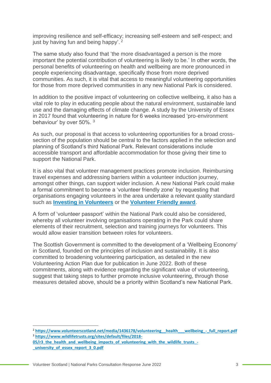improving resilience and self-efficacy; increasing self-esteem and self-respect; and just by having fun and being happy'.<sup>2</sup>

The same study also found that 'the more disadvantaged a person is the more important the potential contribution of volunteering is likely to be.' In other words, the personal benefits of volunteering on health and wellbeing are more pronounced in people experiencing disadvantage, specifically those from more deprived communities. As such, it is vital that access to meaningful volunteering opportunities for those from more deprived communities in any new National Park is considered.

In addition to the positive impact of volunteering on collective wellbeing, it also has a vital role to play in educating people about the natural environment, sustainable land use and the damaging effects of climate change. A study by the University of Essex in 2017 found that volunteering in nature for 6 weeks increased 'pro-environment behaviour' by over 50%. <sup>3</sup>

As such, our proposal is that access to volunteering opportunities for a broad crosssection of the population should be central to the factors applied in the selection and planning of Scotland's third National Park. Relevant considerations include accessible transport and affordable accommodation for those giving their time to support the National Park.

It is also vital that volunteer management practices promote inclusion. Reimbursing travel expenses and addressing barriers within a volunteer induction journey, amongst other things, can support wider inclusion. A new National Park could make a formal commitment to become a 'volunteer friendly zone' by requesting that organisations engaging volunteers in the area undertake a relevant quality standard such as **[Investing in Volunteers](https://www.volunteerscotland.net/for-organisations/quality-standards/investing-in-volunteers/)** or the **[Volunteer Friendly award](https://www.volunteerscotland.net/for-organisations/quality-standards/volunteer-friendly-award/)**.

A form of 'volunteer passport' within the National Park could also be considered, whereby all volunteer involving organisations operating in the Park could share elements of their recruitment, selection and training journeys for volunteers. This would allow easier transition between roles for volunteers.

The Scottish Government is committed to the development of a 'Wellbeing Economy' in Scotland, founded on the principles of inclusion and sustainability. It is also committed to broadening volunteering participation, as detailed in the new Volunteering Action Plan due for publication in June 2022. Both of these commitments, along with evidence regarding the significant value of volunteering, suggest that taking steps to further promote inclusive volunteering, through those measures detailed above, should be a priority within Scotland's new National Park.

<sup>&</sup>lt;sup>2</sup> https://www.volunteerscotland.net/media/1436178/volunteering health wellbeing - full report.pdf <sup>3</sup> **[https://www.wildlifetrusts.org/sites/default/files/2018-](https://www.wildlifetrusts.org/sites/default/files/2018-05/r3_the_health_and_wellbeing_impacts_of_volunteering_with_the_wildlife_trusts_-_university_of_essex_report_3_0.pdf)**

**[<sup>05/</sup>r3\\_the\\_health\\_and\\_wellbeing\\_impacts\\_of\\_volunteering\\_with\\_the\\_wildlife\\_trusts\\_-](https://www.wildlifetrusts.org/sites/default/files/2018-05/r3_the_health_and_wellbeing_impacts_of_volunteering_with_the_wildlife_trusts_-_university_of_essex_report_3_0.pdf) [\\_university\\_of\\_essex\\_report\\_3\\_0.pdf](https://www.wildlifetrusts.org/sites/default/files/2018-05/r3_the_health_and_wellbeing_impacts_of_volunteering_with_the_wildlife_trusts_-_university_of_essex_report_3_0.pdf)**